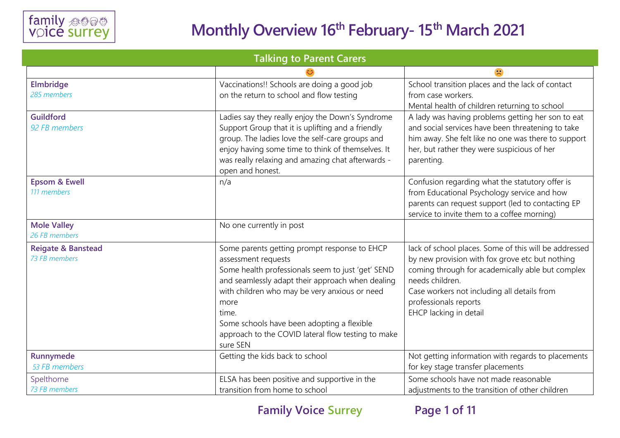

| <b>Talking to Parent Carers</b>                |                                                                                                                                                                                                                                                                                                                                                                |                                                                                                                                                                                                                                                                                   |  |  |  |
|------------------------------------------------|----------------------------------------------------------------------------------------------------------------------------------------------------------------------------------------------------------------------------------------------------------------------------------------------------------------------------------------------------------------|-----------------------------------------------------------------------------------------------------------------------------------------------------------------------------------------------------------------------------------------------------------------------------------|--|--|--|
|                                                |                                                                                                                                                                                                                                                                                                                                                                | $2^{\circ}$                                                                                                                                                                                                                                                                       |  |  |  |
| <b>Elmbridge</b><br>285 members                | Vaccinations!! Schools are doing a good job<br>on the return to school and flow testing                                                                                                                                                                                                                                                                        | School transition places and the lack of contact<br>from case workers.<br>Mental health of children returning to school                                                                                                                                                           |  |  |  |
| <b>Guildford</b><br>92 FB members              | Ladies say they really enjoy the Down's Syndrome<br>Support Group that it is uplifting and a friendly<br>group. The ladies love the self-care groups and<br>enjoy having some time to think of themselves. It<br>was really relaxing and amazing chat afterwards -<br>open and honest.                                                                         | A lady was having problems getting her son to eat<br>and social services have been threatening to take<br>him away. She felt like no one was there to support<br>her, but rather they were suspicious of her<br>parenting.                                                        |  |  |  |
| <b>Epsom &amp; Ewell</b><br>111 members        | n/a                                                                                                                                                                                                                                                                                                                                                            | Confusion regarding what the statutory offer is<br>from Educational Psychology service and how<br>parents can request support (led to contacting EP<br>service to invite them to a coffee morning)                                                                                |  |  |  |
| <b>Mole Valley</b><br>26 FB members            | No one currently in post                                                                                                                                                                                                                                                                                                                                       |                                                                                                                                                                                                                                                                                   |  |  |  |
| <b>Reigate &amp; Banstead</b><br>73 FB members | Some parents getting prompt response to EHCP<br>assessment requests<br>Some health professionals seem to just 'get' SEND<br>and seamlessly adapt their approach when dealing<br>with children who may be very anxious or need<br>more<br>time.<br>Some schools have been adopting a flexible<br>approach to the COVID lateral flow testing to make<br>sure SEN | lack of school places. Some of this will be addressed<br>by new provision with fox grove etc but nothing<br>coming through for academically able but complex<br>needs children.<br>Case workers not including all details from<br>professionals reports<br>EHCP lacking in detail |  |  |  |
| Runnymede                                      | Getting the kids back to school                                                                                                                                                                                                                                                                                                                                | Not getting information with regards to placements                                                                                                                                                                                                                                |  |  |  |
| 53 FB members                                  |                                                                                                                                                                                                                                                                                                                                                                | for key stage transfer placements                                                                                                                                                                                                                                                 |  |  |  |
| Spelthorne<br>73 FB members                    | ELSA has been positive and supportive in the<br>transition from home to school                                                                                                                                                                                                                                                                                 | Some schools have not made reasonable<br>adjustments to the transition of other children                                                                                                                                                                                          |  |  |  |

**Family Voice Surrey Page 1 of 11**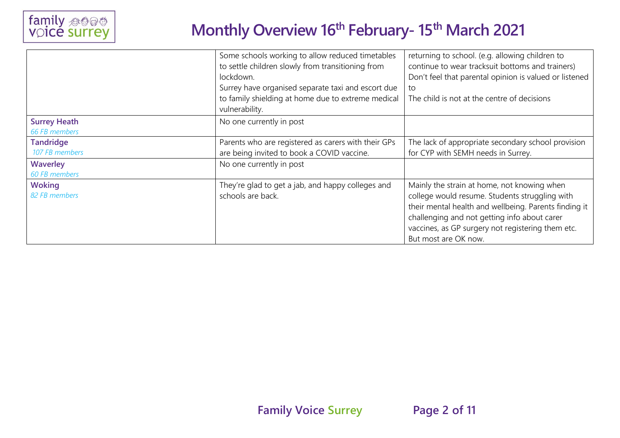|                                      | Some schools working to allow reduced timetables<br>to settle children slowly from transitioning from<br>lockdown.<br>Surrey have organised separate taxi and escort due<br>to family shielding at home due to extreme medical<br>vulnerability. | returning to school. (e.g. allowing children to<br>continue to wear tracksuit bottoms and trainers)<br>Don't feel that parental opinion is valued or listened<br>to<br>The child is not at the centre of decisions                                                                  |
|--------------------------------------|--------------------------------------------------------------------------------------------------------------------------------------------------------------------------------------------------------------------------------------------------|-------------------------------------------------------------------------------------------------------------------------------------------------------------------------------------------------------------------------------------------------------------------------------------|
| <b>Surrey Heath</b><br>66 FB members | No one currently in post                                                                                                                                                                                                                         |                                                                                                                                                                                                                                                                                     |
| <b>Tandridge</b><br>107 FB members   | Parents who are registered as carers with their GPs<br>are being invited to book a COVID vaccine.                                                                                                                                                | The lack of appropriate secondary school provision<br>for CYP with SEMH needs in Surrey.                                                                                                                                                                                            |
| <b>Waverley</b><br>60 FB members     | No one currently in post                                                                                                                                                                                                                         |                                                                                                                                                                                                                                                                                     |
| <b>Woking</b><br>82 FB members       | They're glad to get a jab, and happy colleges and<br>schools are back.                                                                                                                                                                           | Mainly the strain at home, not knowing when<br>college would resume. Students struggling with<br>their mental health and wellbeing. Parents finding it<br>challenging and not getting info about carer<br>vaccines, as GP surgery not registering them etc.<br>But most are OK now. |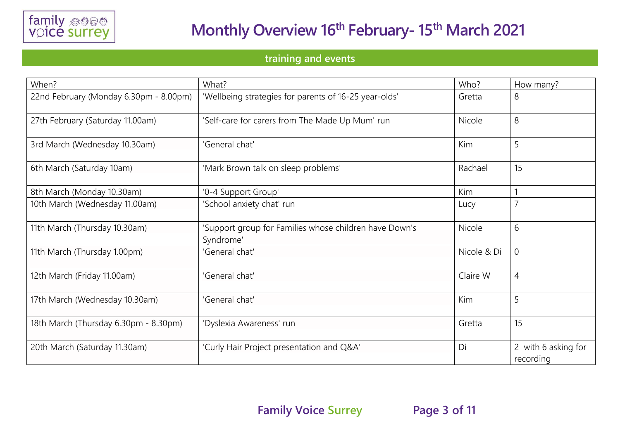

### **training and events**

| When?                                  | What?                                                               | Who?        | How many?                        |
|----------------------------------------|---------------------------------------------------------------------|-------------|----------------------------------|
| 22nd February (Monday 6.30pm - 8.00pm) | 'Wellbeing strategies for parents of 16-25 year-olds'               | Gretta      | 8                                |
| 27th February (Saturday 11.00am)       | 'Self-care for carers from The Made Up Mum' run                     | Nicole      | 8                                |
| 3rd March (Wednesday 10.30am)          | 'General chat'                                                      | Kim         | 5                                |
| 6th March (Saturday 10am)              | 'Mark Brown talk on sleep problems'                                 | Rachael     | 15                               |
| 8th March (Monday 10.30am)             | '0-4 Support Group'                                                 | Kim         |                                  |
| 10th March (Wednesday 11.00am)         | 'School anxiety chat' run                                           | Lucy        | 7                                |
| 11th March (Thursday 10.30am)          | 'Support group for Families whose children have Down's<br>Syndrome' | Nicole      | 6                                |
| 11th March (Thursday 1.00pm)           | 'General chat'                                                      | Nicole & Di | $\overline{0}$                   |
| 12th March (Friday 11.00am)            | 'General chat'                                                      | Claire W    | $\overline{4}$                   |
| 17th March (Wednesday 10.30am)         | 'General chat'                                                      | Kim         | 5                                |
| 18th March (Thursday 6.30pm - 8.30pm)  | 'Dyslexia Awareness' run                                            | Gretta      | 15                               |
| 20th March (Saturday 11.30am)          | 'Curly Hair Project presentation and Q&A'                           | Di          | 2 with 6 asking for<br>recording |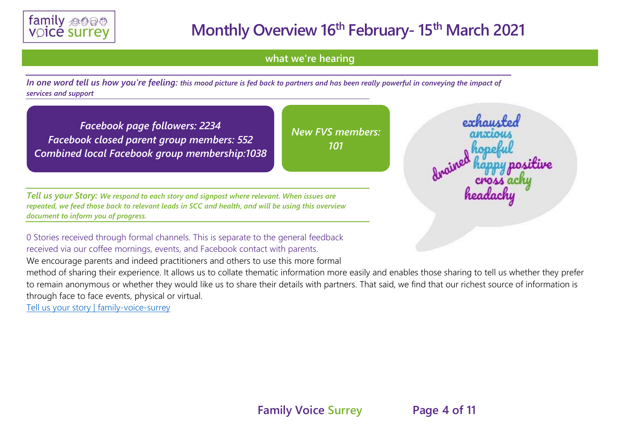

#### **what we're hearing**

*In one word tell us how you're feeling: this mood picture is fed back to partners and has been really powerful in conveying the impact of services and support*

*Facebook page followers: 2234 Facebook closed parent group members: 552 Combined local Facebook group membership:1038*

*New FVS members: 101*



*Tell us your Story: We respond to each story and signpost where relevant. When issues are repeated, we feed those back to relevant leads in SCC and health, and will be using this overview document to inform you of progress.*

0 Stories received through formal channels. This is separate to the general feedback received via our coffee mornings, events, and Facebook contact with parents.

We encourage parents and indeed practitioners and others to use this more formal

method of sharing their experience. It allows us to collate thematic information more easily and enables those sharing to tell us whether they prefer to remain anonymous or whether they would like us to share their details with partners. That said, we find that our richest source of information is through face to face events, physical or virtual.

[Tell us your story | family-voice-surrey](https://www.familyvoicesurrey.org/tell-us-your-story)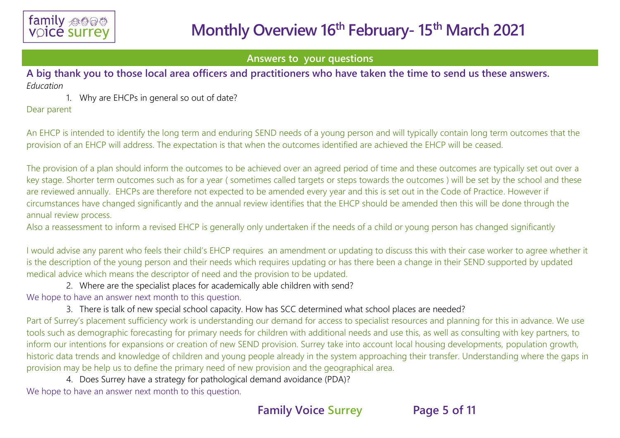

#### **Answers to your questions**

#### **A big thank you to those local area officers and practitioners who have taken the time to send us these answers.** *Education*

1. Why are EHCPs in general so out of date?

#### Dear parent

An EHCP is intended to identify the long term and enduring SEND needs of a young person and will typically contain long term outcomes that the provision of an EHCP will address. The expectation is that when the outcomes identified are achieved the EHCP will be ceased.

The provision of a plan should inform the outcomes to be achieved over an agreed period of time and these outcomes are typically set out over a key stage. Shorter term outcomes such as for a year ( sometimes called targets or steps towards the outcomes ) will be set by the school and these are reviewed annually. EHCPs are therefore not expected to be amended every year and this is set out in the Code of Practice. However if circumstances have changed significantly and the annual review identifies that the EHCP should be amended then this will be done through the annual review process.

Also a reassessment to inform a revised EHCP is generally only undertaken if the needs of a child or young person has changed significantly

I would advise any parent who feels their child's EHCP requires an amendment or updating to discuss this with their case worker to agree whether it is the description of the young person and their needs which requires updating or has there been a change in their SEND supported by updated medical advice which means the descriptor of need and the provision to be updated.

2. Where are the specialist places for academically able children with send? We hope to have an answer next month to this question.

3. There is talk of new special school capacity. How has SCC determined what school places are needed?

Part of Surrey's placement sufficiency work is understanding our demand for access to specialist resources and planning for this in advance. We use tools such as demographic forecasting for primary needs for children with additional needs and use this, as well as consulting with key partners, to inform our intentions for expansions or creation of new SEND provision. Surrey take into account local housing developments, population growth, historic data trends and knowledge of children and young people already in the system approaching their transfer. Understanding where the gaps in provision may be help us to define the primary need of new provision and the geographical area.

4. Does Surrey have a strategy for pathological demand avoidance (PDA)? We hope to have an answer next month to this question.

### **Family Voice Surrey Page 5 of 11**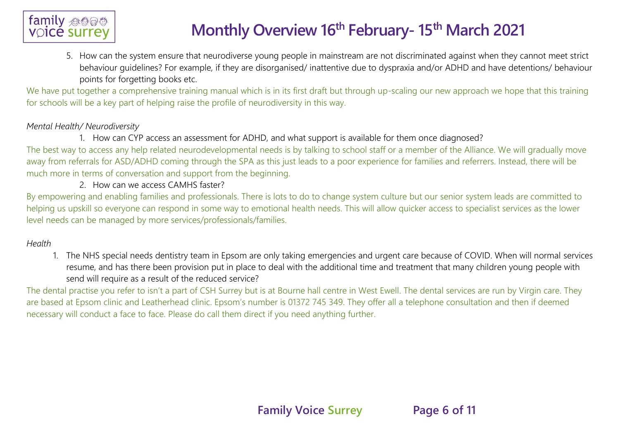

5. How can the system ensure that neurodiverse young people in mainstream are not discriminated against when they cannot meet strict behaviour guidelines? For example, if they are disorganised/ inattentive due to dyspraxia and/or ADHD and have detentions/ behaviour points for forgetting books etc.

We have put together a comprehensive training manual which is in its first draft but through up-scaling our new approach we hope that this training for schools will be a key part of helping raise the profile of neurodiversity in this way.

#### *Mental Health/ Neurodiversity*

1. How can CYP access an assessment for ADHD, and what support is available for them once diagnosed?

The best way to access any help related neurodevelopmental needs is by talking to school staff or a member of the Alliance. We will gradually move away from referrals for ASD/ADHD coming through the SPA as this just leads to a poor experience for families and referrers. Instead, there will be much more in terms of conversation and support from the beginning.

#### 2. How can we access CAMHS faster?

By empowering and enabling families and professionals. There is lots to do to change system culture but our senior system leads are committed to helping us upskill so everyone can respond in some way to emotional health needs. This will allow quicker access to specialist services as the lower level needs can be managed by more services/professionals/families.

#### *Health*

1. The NHS special needs dentistry team in Epsom are only taking emergencies and urgent care because of COVID. When will normal services resume, and has there been provision put in place to deal with the additional time and treatment that many children young people with send will require as a result of the reduced service?

The dental practise you refer to isn't a part of CSH Surrey but is at Bourne hall centre in West Ewell. The dental services are run by Virgin care. They are based at Epsom clinic and Leatherhead clinic. Epsom's number is 01372 745 349. They offer all a telephone consultation and then if deemed necessary will conduct a face to face. Please do call them direct if you need anything further.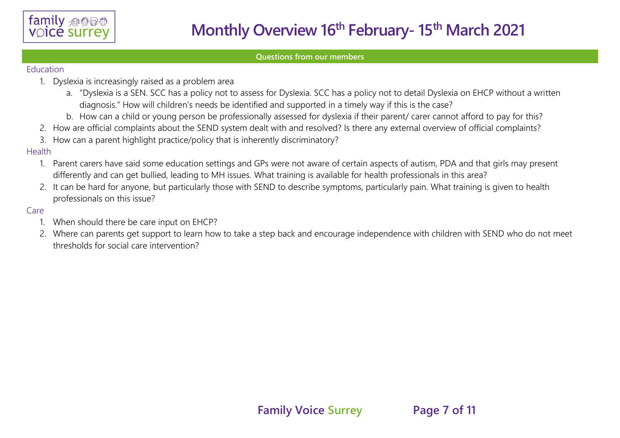

#### **Questions from our members**

#### Education

- 1. Dyslexia is increasingly raised as a problem area
	- a. "Dyslexia is a SEN. SCC has a policy not to assess for Dyslexia. SCC has a policy not to detail Dyslexia on EHCP without a written diagnosis." How will children's needs be identified and supported in a timely way if this is the case?
	- b. How can a child or young person be professionally assessed for dyslexia if their parent/ carer cannot afford to pay for this?
- 2. How are official complaints about the SEND system dealt with and resolved? Is there any external overview of official complaints?
- 3. How can a parent highlight practice/policy that is inherently discriminatory?

#### Health

- 1. Parent carers have said some education settings and GPs were not aware of certain aspects of autism, PDA and that girls may present differently and can get bullied, leading to MH issues. What training is available for health professionals in this area?
- 2. It can be hard for anyone, but particularly those with SEND to describe symptoms, particularly pain. What training is given to health professionals on this issue?

#### Care

- 1. When should there be care input on EHCP?
- 2. Where can parents get support to learn how to take a step back and encourage independence with children with SEND who do not meet thresholds for social care intervention?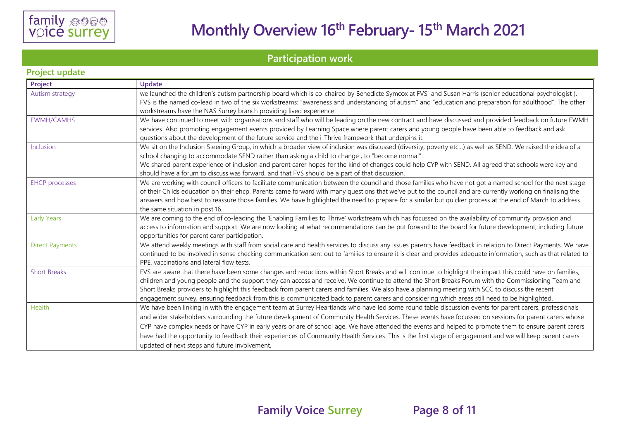

### **Participation work**

#### **Project update**

| Project                | <b>Update</b>                                                                                                                                                                                                                                                                                                                                                                                                                                                                                                                                                                                                                                                                            |
|------------------------|------------------------------------------------------------------------------------------------------------------------------------------------------------------------------------------------------------------------------------------------------------------------------------------------------------------------------------------------------------------------------------------------------------------------------------------------------------------------------------------------------------------------------------------------------------------------------------------------------------------------------------------------------------------------------------------|
| Autism strategy        | we launched the children's autism partnership board which is co-chaired by Benedicte Symcox at FVS and Susan Harris (senior educational psychologist).<br>FVS is the named co-lead in two of the six workstreams: "awareness and understanding of autism" and "education and preparation for adulthood". The other<br>workstreams have the NAS Surrey branch providing lived experience.                                                                                                                                                                                                                                                                                                 |
| <b>EWMH/CAMHS</b>      | We have continued to meet with organisations and staff who will be leading on the new contract and have discussed and provided feedback on future EWMH<br>services. Also promoting engagement events provided by Learning Space where parent carers and young people have been able to feedback and ask<br>questions about the development of the future service and the i-Thrive framework that underpins it.                                                                                                                                                                                                                                                                           |
| Inclusion              | We sit on the Inclusion Steering Group, in which a broader view of inclusion was discussed (diversity, poverty etc) as well as SEND. We raised the idea of a<br>school changing to accommodate SEND rather than asking a child to change, to "become normal".<br>We shared parent experience of inclusion and parent carer hopes for the kind of changes could help CYP with SEND. All agreed that schools were key and<br>should have a forum to discuss was forward, and that FVS should be a part of that discussion.                                                                                                                                                                 |
| <b>EHCP</b> processes  | We are working with council officers to facilitate communication between the council and those families who have not got a named school for the next stage<br>of their Childs education on their ehcp. Parents came forward with many questions that we've put to the council and are currently working on finalising the<br>answers and how best to reassure those families. We have highlighted the need to prepare for a similar but quicker process at the end of March to address<br>the same situation in post 16.                                                                                                                                                                 |
| <b>Early Years</b>     | We are coming to the end of co-leading the 'Enabling Families to Thrive' workstream which has focussed on the availability of community provision and<br>access to information and support. We are now looking at what recommendations can be put forward to the board for future development, including future<br>opportunities for parent carer participation.                                                                                                                                                                                                                                                                                                                         |
| <b>Direct Payments</b> | We attend weekly meetings with staff from social care and health services to discuss any issues parents have feedback in relation to Direct Payments. We have<br>continued to be involved in sense checking communication sent out to families to ensure it is clear and provides adequate information, such as that related to<br>PPE, vaccinations and lateral flow tests.                                                                                                                                                                                                                                                                                                             |
| <b>Short Breaks</b>    | FVS are aware that there have been some changes and reductions within Short Breaks and will continue to highlight the impact this could have on families,<br>children and young people and the support they can access and receive. We continue to attend the Short Breaks Forum with the Commissioning Team and<br>Short Breaks providers to highlight this feedback from parent carers and families. We also have a planning meeting with SCC to discuss the recent<br>engagement survey, ensuring feedback from this is communicated back to parent carers and considering which areas still need to be highlighted.                                                                  |
| Health                 | We have been linking in with the engagement team at Surrey Heartlands who have led some round table discussion events for parent carers, professionals<br>and wider stakeholders surrounding the future development of Community Health Services. These events have focussed on sessions for parent carers whose<br>CYP have complex needs or have CYP in early years or are of school age. We have attended the events and helped to promote them to ensure parent carers<br>have had the opportunity to feedback their experiences of Community Health Services. This is the first stage of engagement and we will keep parent carers<br>updated of next steps and future involvement. |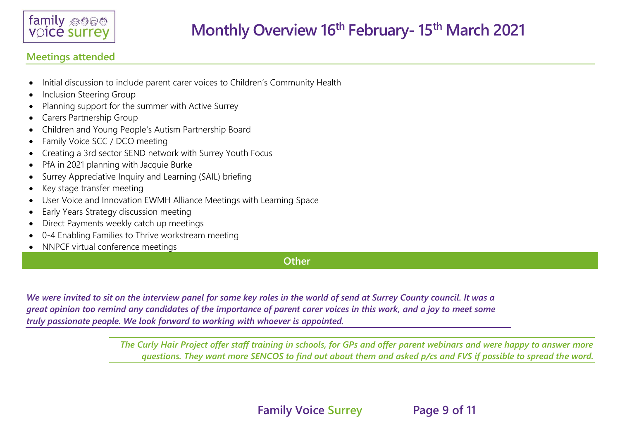

#### **Meetings attended**

- Initial discussion to include parent carer voices to Children's Community Health
- Inclusion Steering Group
- Planning support for the summer with Active Surrey
- Carers Partnership Group
- Children and Young People's Autism Partnership Board
- Family Voice SCC / DCO meeting
- Creating a 3rd sector SEND network with Surrey Youth Focus
- PfA in 2021 planning with Jacquie Burke
- Surrey Appreciative Inquiry and Learning (SAIL) briefing
- Key stage transfer meeting
- User Voice and Innovation EWMH Alliance Meetings with Learning Space
- Early Years Strategy discussion meeting
- Direct Payments weekly catch up meetings
- 0-4 Enabling Families to Thrive workstream meeting
- NNPCF virtual conference meetings

**Other**

*We were invited to sit on the interview panel for some key roles in the world of send at Surrey County council. It was a great opinion too remind any candidates of the importance of parent carer voices in this work, and a joy to meet some truly passionate people. We look forward to working with whoever is appointed.* 

> *The Curly Hair Project offer staff training in schools, for GPs and offer parent webinars and were happy to answer more questions. They want more SENCOS to find out about them and asked p/cs and FVS if possible to spread the word.*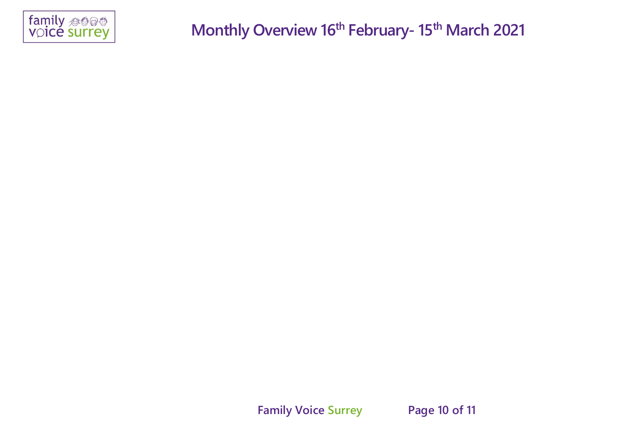

**Family Voice Surrey Page 10 of 11**